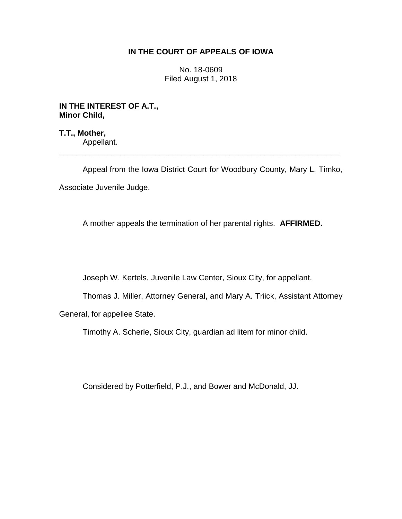# **IN THE COURT OF APPEALS OF IOWA**

No. 18-0609 Filed August 1, 2018

**IN THE INTEREST OF A.T., Minor Child,**

**T.T., Mother,** Appellant. \_\_\_\_\_\_\_\_\_\_\_\_\_\_\_\_\_\_\_\_\_\_\_\_\_\_\_\_\_\_\_\_\_\_\_\_\_\_\_\_\_\_\_\_\_\_\_\_\_\_\_\_\_\_\_\_\_\_\_\_\_\_\_\_

Appeal from the Iowa District Court for Woodbury County, Mary L. Timko, Associate Juvenile Judge.

A mother appeals the termination of her parental rights. **AFFIRMED.**

Joseph W. Kertels, Juvenile Law Center, Sioux City, for appellant.

Thomas J. Miller, Attorney General, and Mary A. Triick, Assistant Attorney General, for appellee State.

Timothy A. Scherle, Sioux City, guardian ad litem for minor child.

Considered by Potterfield, P.J., and Bower and McDonald, JJ.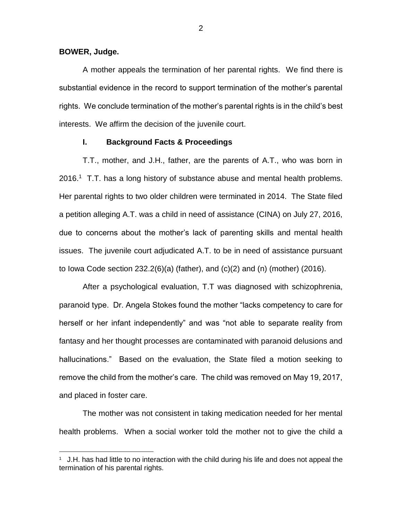### **BOWER, Judge.**

 $\overline{a}$ 

A mother appeals the termination of her parental rights. We find there is substantial evidence in the record to support termination of the mother's parental rights. We conclude termination of the mother's parental rights is in the child's best interests. We affirm the decision of the juvenile court.

## **I. Background Facts & Proceedings**

T.T., mother, and J.H., father, are the parents of A.T., who was born in  $2016<sup>1</sup>$  T.T. has a long history of substance abuse and mental health problems. Her parental rights to two older children were terminated in 2014. The State filed a petition alleging A.T. was a child in need of assistance (CINA) on July 27, 2016, due to concerns about the mother's lack of parenting skills and mental health issues. The juvenile court adjudicated A.T. to be in need of assistance pursuant to Iowa Code section 232.2(6)(a) (father), and (c)(2) and (n) (mother) (2016).

After a psychological evaluation, T.T was diagnosed with schizophrenia, paranoid type. Dr. Angela Stokes found the mother "lacks competency to care for herself or her infant independently" and was "not able to separate reality from fantasy and her thought processes are contaminated with paranoid delusions and hallucinations." Based on the evaluation, the State filed a motion seeking to remove the child from the mother's care. The child was removed on May 19, 2017, and placed in foster care.

The mother was not consistent in taking medication needed for her mental health problems. When a social worker told the mother not to give the child a

<sup>&</sup>lt;sup>1</sup> J.H. has had little to no interaction with the child during his life and does not appeal the termination of his parental rights.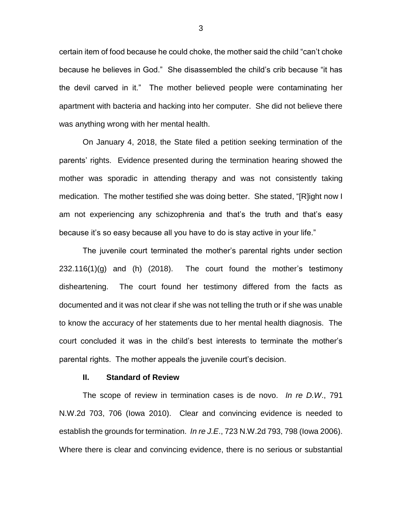certain item of food because he could choke, the mother said the child "can't choke because he believes in God." She disassembled the child's crib because "it has the devil carved in it." The mother believed people were contaminating her apartment with bacteria and hacking into her computer. She did not believe there was anything wrong with her mental health.

On January 4, 2018, the State filed a petition seeking termination of the parents' rights. Evidence presented during the termination hearing showed the mother was sporadic in attending therapy and was not consistently taking medication. The mother testified she was doing better. She stated, "[R]ight now I am not experiencing any schizophrenia and that's the truth and that's easy because it's so easy because all you have to do is stay active in your life."

The juvenile court terminated the mother's parental rights under section  $232.116(1)(g)$  and (h) (2018). The court found the mother's testimony disheartening. The court found her testimony differed from the facts as documented and it was not clear if she was not telling the truth or if she was unable to know the accuracy of her statements due to her mental health diagnosis. The court concluded it was in the child's best interests to terminate the mother's parental rights. The mother appeals the juvenile court's decision.

#### **II. Standard of Review**

The scope of review in termination cases is de novo. *In re D.W*., 791 N.W.2d 703, 706 (Iowa 2010). Clear and convincing evidence is needed to establish the grounds for termination. *In re J.E*., 723 N.W.2d 793, 798 (Iowa 2006). Where there is clear and convincing evidence, there is no serious or substantial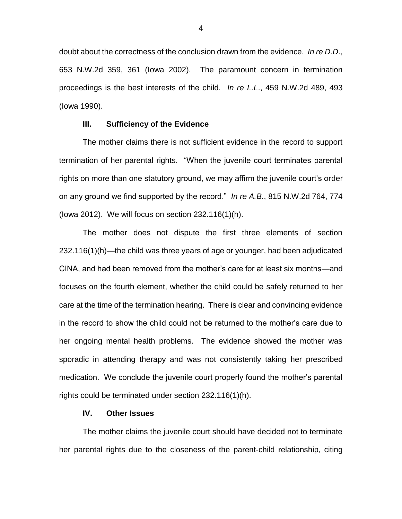doubt about the correctness of the conclusion drawn from the evidence. *In re D.D*., 653 N.W.2d 359, 361 (Iowa 2002). The paramount concern in termination proceedings is the best interests of the child. *In re L.L*., 459 N.W.2d 489, 493 (Iowa 1990).

# **III. Sufficiency of the Evidence**

The mother claims there is not sufficient evidence in the record to support termination of her parental rights. "When the juvenile court terminates parental rights on more than one statutory ground, we may affirm the juvenile court's order on any ground we find supported by the record." *In re A.B.*, 815 N.W.2d 764, 774 (Iowa 2012). We will focus on section 232.116(1)(h).

The mother does not dispute the first three elements of section 232.116(1)(h)—the child was three years of age or younger, had been adjudicated CINA, and had been removed from the mother's care for at least six months—and focuses on the fourth element, whether the child could be safely returned to her care at the time of the termination hearing. There is clear and convincing evidence in the record to show the child could not be returned to the mother's care due to her ongoing mental health problems. The evidence showed the mother was sporadic in attending therapy and was not consistently taking her prescribed medication. We conclude the juvenile court properly found the mother's parental rights could be terminated under section 232.116(1)(h).

### **IV. Other Issues**

The mother claims the juvenile court should have decided not to terminate her parental rights due to the closeness of the parent-child relationship, citing

4